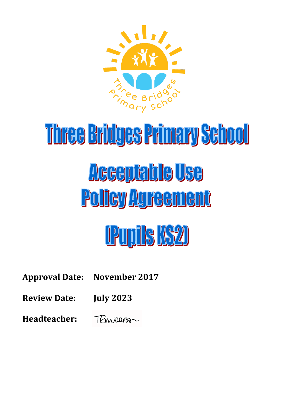

# Three Bridges Primary School <u>Acceptable Use</u> Policy Agreement

# (Pupils KS2)

**Approval Date: November 2017**

**Review Date: July 2023**

**Headteacher:** TEmberson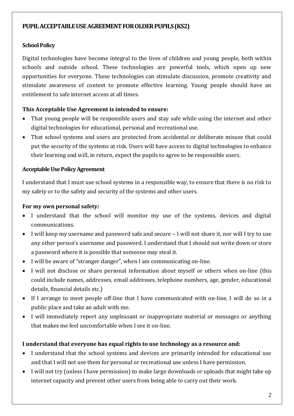### **PUPIL ACCEPTABLE USE AGREEMENT FOR OLDER PUPILS (KS2)**

### **School Policy**

Digital technologies have become integral to the lives of children and young people, both within schools and outside school. These technologies are powerful tools, which open up new opportunities for everyone. These technologies can stimulate discussion, promote creativity and stimulate awareness of context to promote effective learning. Young people should have an entitlement to safe internet access at all times.

## **This Acceptable Use Agreement is intended to ensure:**

- That young people will be responsible users and stay safe while using the internet and other digital technologies for educational, personal and recreational use.
- That school systems and users are protected from accidental or deliberate misuse that could put the security of the systems at risk. Users will have access to digital technologies to enhance their learning and will, in return, expect the pupils to agree to be responsible users.

#### **Acceptable Use Policy Agreement**

I understand that I must use school systems in a responsible way, to ensure that there is no risk to my safety or to the safety and security of the systems and other users.

#### **For my own personal safety:**

- I understand that the school will monitor my use of the systems, devices and digital communications.
- I will keep my username and password safe and secure I will not share it, nor will I try to use any other person's username and password. I understand that I should not write down or store a password where it is possible that someone may steal it.
- I will be aware of "stranger danger", when I am communicating on-line.
- I will not disclose or share personal information about myself or others when on-line (this could include names, addresses, email addresses, telephone numbers, age, gender, educational details, financial details etc.)
- If I arrange to meet people off-line that I have communicated with on-line, I will do so in a public place and take an adult with me.
- I will immediately report any unpleasant or inappropriate material or messages or anything that makes me feel uncomfortable when I see it on-line.

#### **I understand that everyone has equal rights to use technology as a resource and:**

- I understand that the school systems and devices are primarily intended for educational use and that I will not use them for personal or recreational use unless I have permission.
- I will not try (unless I have permission) to make large downloads or uploads that might take up internet capacity and prevent other users from being able to carry out their work.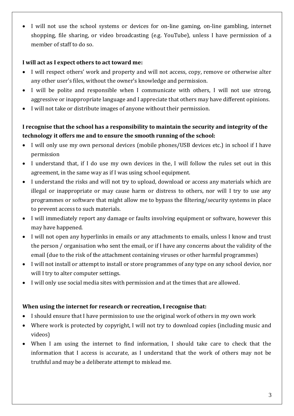I will not use the school systems or devices for on-line gaming, on-line gambling, internet shopping, file sharing, or video broadcasting (e.g. YouTube), unless I have permission of a member of staff to do so.

#### **I will act as I expect others to act toward me:**

- I will respect others' work and property and will not access, copy, remove or otherwise alter any other user's files, without the owner's knowledge and permission.
- I will be polite and responsible when I communicate with others, I will not use strong, aggressive or inappropriate language and I appreciate that others may have different opinions.
- I will not take or distribute images of anyone without their permission.

# **I recognise that the school has a responsibility to maintain the security and integrity of the technology it offers me and to ensure the smooth running of the school:**

- I will only use my own personal devices (mobile phones/USB devices etc.) in school if I have permission
- I understand that, if I do use my own devices in the, I will follow the rules set out in this agreement, in the same way as if I was using school equipment.
- I understand the risks and will not try to upload, download or access any materials which are illegal or inappropriate or may cause harm or distress to others, nor will I try to use any programmes or software that might allow me to bypass the filtering/security systems in place to prevent access to such materials.
- I will immediately report any damage or faults involving equipment or software, however this may have happened.
- I will not open any hyperlinks in emails or any attachments to emails, unless I know and trust the person / organisation who sent the email, or if I have any concerns about the validity of the email (due to the risk of the attachment containing viruses or other harmful programmes)
- I will not install or attempt to install or store programmes of any type on any school device, nor will I try to alter computer settings.
- I will only use social media sites with permission and at the times that are allowed.

#### **When using the internet for research or recreation, I recognise that:**

- I should ensure that I have permission to use the original work of others in my own work
- Where work is protected by copyright, I will not try to download copies (including music and videos)
- When I am using the internet to find information, I should take care to check that the information that I access is accurate, as I understand that the work of others may not be truthful and may be a deliberate attempt to mislead me.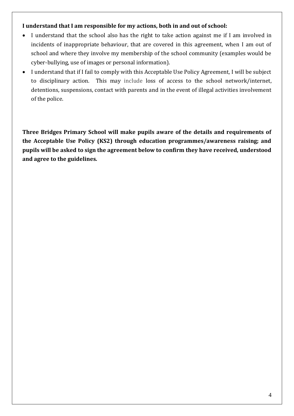#### **I understand that I am responsible for my actions, both in and out of school:**

- I understand that the school also has the right to take action against me if I am involved in incidents of inappropriate behaviour, that are covered in this agreement, when I am out of school and where they involve my membership of the school community (examples would be cyber-bullying, use of images or personal information).
- I understand that if I fail to comply with this Acceptable Use Policy Agreement, I will be subject to disciplinary action. This may include loss of access to the school network/internet, detentions, suspensions, contact with parents and in the event of illegal activities involvement of the police.

**Three Bridges Primary School will make pupils aware of the details and requirements of the Acceptable Use Policy (KS2) through education programmes/awareness raising; and pupils will be asked to sign the agreement below to confirm they have received, understood and agree to the guidelines.**